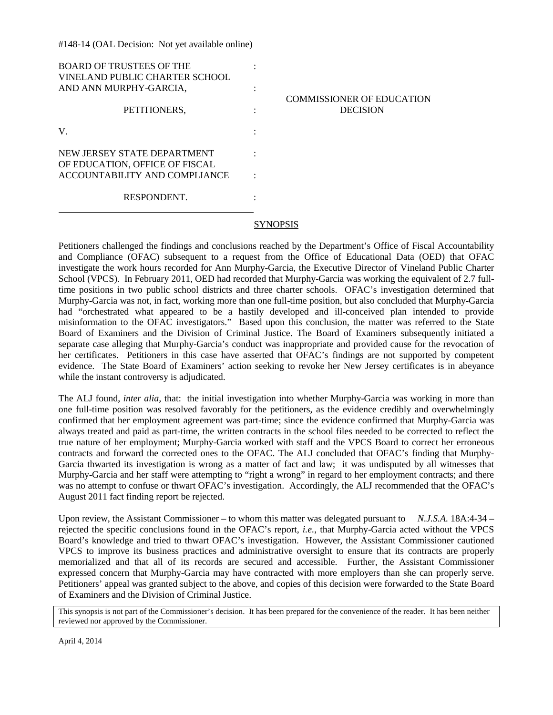| <b>BOARD OF TRUSTEES OF THE</b><br>VINELAND PUBLIC CHARTER SCHOOL |                                                     |
|-------------------------------------------------------------------|-----------------------------------------------------|
| AND ANN MURPHY-GARCIA,                                            |                                                     |
| PETITIONERS,                                                      | <b>COMMISSIONER OF EDUCATION</b><br><b>DECISION</b> |
| V.                                                                |                                                     |
| NEW JERSEY STATE DEPARTMENT<br>OF EDUCATION, OFFICE OF FISCAL     |                                                     |
| ACCOUNTABILITY AND COMPLIANCE                                     |                                                     |
| RESPONDENT.                                                       |                                                     |

#148-14 (OAL Decision: Not yet available online)

## SYNOPSIS

Petitioners challenged the findings and conclusions reached by the Department's Office of Fiscal Accountability and Compliance (OFAC) subsequent to a request from the Office of Educational Data (OED) that OFAC investigate the work hours recorded for Ann Murphy-Garcia, the Executive Director of Vineland Public Charter School (VPCS). In February 2011, OED had recorded that Murphy-Garcia was working the equivalent of 2.7 fulltime positions in two public school districts and three charter schools. OFAC's investigation determined that Murphy-Garcia was not, in fact, working more than one full-time position, but also concluded that Murphy-Garcia had "orchestrated what appeared to be a hastily developed and ill-conceived plan intended to provide misinformation to the OFAC investigators." Based upon this conclusion, the matter was referred to the State Board of Examiners and the Division of Criminal Justice. The Board of Examiners subsequently initiated a separate case alleging that Murphy-Garcia's conduct was inappropriate and provided cause for the revocation of her certificates. Petitioners in this case have asserted that OFAC's findings are not supported by competent evidence. The State Board of Examiners' action seeking to revoke her New Jersey certificates is in abeyance while the instant controversy is adjudicated.

The ALJ found, *inter alia,* that: the initial investigation into whether Murphy-Garcia was working in more than one full-time position was resolved favorably for the petitioners, as the evidence credibly and overwhelmingly confirmed that her employment agreement was part-time; since the evidence confirmed that Murphy-Garcia was always treated and paid as part-time, the written contracts in the school files needed to be corrected to reflect the true nature of her employment; Murphy-Garcia worked with staff and the VPCS Board to correct her erroneous contracts and forward the corrected ones to the OFAC. The ALJ concluded that OFAC's finding that Murphy-Garcia thwarted its investigation is wrong as a matter of fact and law; it was undisputed by all witnesses that Murphy-Garcia and her staff were attempting to "right a wrong" in regard to her employment contracts; and there was no attempt to confuse or thwart OFAC's investigation. Accordingly, the ALJ recommended that the OFAC's August 2011 fact finding report be rejected.

Upon review, the Assistant Commissioner – to whom this matter was delegated pursuant to *N.J.S.A.* 18A:4-34 – rejected the specific conclusions found in the OFAC's report, *i.e.*, that Murphy-Garcia acted without the VPCS Board's knowledge and tried to thwart OFAC's investigation. However, the Assistant Commissioner cautioned VPCS to improve its business practices and administrative oversight to ensure that its contracts are properly memorialized and that all of its records are secured and accessible. Further, the Assistant Commissioner expressed concern that Murphy-Garcia may have contracted with more employers than she can properly serve. Petitioners' appeal was granted subject to the above, and copies of this decision were forwarded to the State Board of Examiners and the Division of Criminal Justice.

This synopsis is not part of the Commissioner's decision. It has been prepared for the convenience of the reader. It has been neither reviewed nor approved by the Commissioner.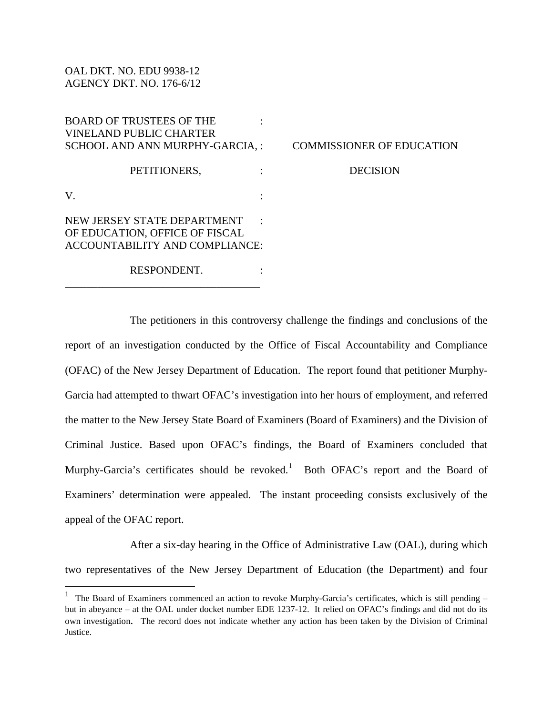OAL DKT. NO. EDU 9938-12 AGENCY DKT. NO. 176-6/12

BOARD OF TRUSTEES OF THE : VINELAND PUBLIC CHARTER SCHOOL AND ANN MURPHY-GARCIA, : COMMISSIONER OF EDUCATION PETITIONERS,  $\qquad$  : DECISION  $V.$  :

NEW JERSEY STATE DEPARTMENT : OF EDUCATION, OFFICE OF FISCAL ACCOUNTABILITY AND COMPLIANCE:

\_\_\_\_\_\_\_\_\_\_\_\_\_\_\_\_\_\_\_\_\_\_\_\_\_\_\_\_\_\_\_\_\_\_\_\_

 $\overline{a}$ 

RESPONDENT.

The petitioners in this controversy challenge the findings and conclusions of the report of an investigation conducted by the Office of Fiscal Accountability and Compliance (OFAC) of the New Jersey Department of Education. The report found that petitioner Murphy-Garcia had attempted to thwart OFAC's investigation into her hours of employment, and referred the matter to the New Jersey State Board of Examiners (Board of Examiners) and the Division of Criminal Justice. Based upon OFAC's findings, the Board of Examiners concluded that Murphy-Garcia's certificates should be revoked.<sup>[1](#page-1-0)</sup> Both OFAC's report and the Board of Examiners' determination were appealed. The instant proceeding consists exclusively of the appeal of the OFAC report.

After a six-day hearing in the Office of Administrative Law (OAL), during which two representatives of the New Jersey Department of Education (the Department) and four

<span id="page-1-0"></span><sup>&</sup>lt;sup>1</sup> The Board of Examiners commenced an action to revoke Murphy-Garcia's certificates, which is still pending – but in abeyance – at the OAL under docket number EDE 1237-12. It relied on OFAC's findings and did not do its own investigation. The record does not indicate whether any action has been taken by the Division of Criminal Justice.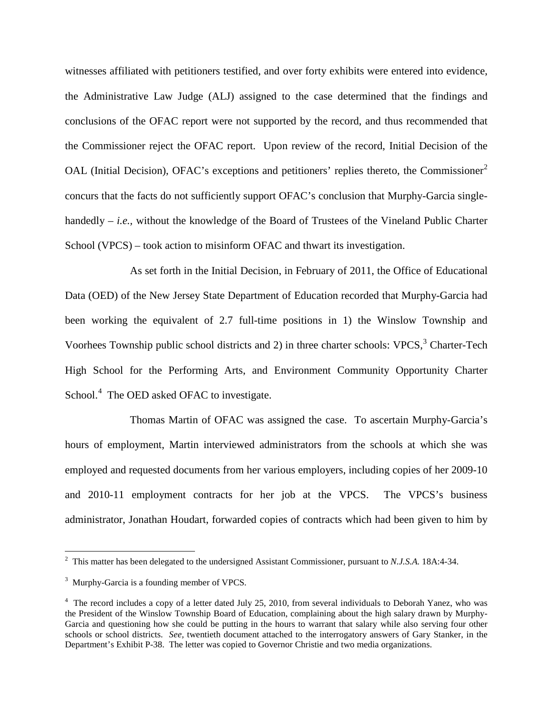witnesses affiliated with petitioners testified, and over forty exhibits were entered into evidence, the Administrative Law Judge (ALJ) assigned to the case determined that the findings and conclusions of the OFAC report were not supported by the record, and thus recommended that the Commissioner reject the OFAC report. Upon review of the record, Initial Decision of the OAL (Initial Decision), OFAC's exceptions and petitioners' replies thereto, the Commissioner<sup>[2](#page-2-0)</sup> concurs that the facts do not sufficiently support OFAC's conclusion that Murphy-Garcia singlehandedly – *i.e.*, without the knowledge of the Board of Trustees of the Vineland Public Charter School (VPCS) – took action to misinform OFAC and thwart its investigation.

As set forth in the Initial Decision, in February of 2011, the Office of Educational Data (OED) of the New Jersey State Department of Education recorded that Murphy-Garcia had been working the equivalent of 2.7 full-time positions in 1) the Winslow Township and Voorhees Township public school districts and 2) in three charter schools: VPCS, $3$  Charter-Tech High School for the Performing Arts, and Environment Community Opportunity Charter School.<sup>[4](#page-2-2)</sup> The OED asked OFAC to investigate.

Thomas Martin of OFAC was assigned the case. To ascertain Murphy-Garcia's hours of employment, Martin interviewed administrators from the schools at which she was employed and requested documents from her various employers, including copies of her 2009-10 and 2010-11 employment contracts for her job at the VPCS. The VPCS's business administrator, Jonathan Houdart, forwarded copies of contracts which had been given to him by

 $\overline{a}$ 

<span id="page-2-0"></span><sup>2</sup> This matter has been delegated to the undersigned Assistant Commissioner, pursuant to *N.J.S.A.* 18A:4-34.

<span id="page-2-1"></span> $3$  Murphy-Garcia is a founding member of VPCS.

<span id="page-2-2"></span><sup>&</sup>lt;sup>4</sup> The record includes a copy of a letter dated July 25, 2010, from several individuals to Deborah Yanez, who was the President of the Winslow Township Board of Education, complaining about the high salary drawn by Murphy-Garcia and questioning how she could be putting in the hours to warrant that salary while also serving four other schools or school districts. *See,* twentieth document attached to the interrogatory answers of Gary Stanker, in the Department's Exhibit P-38. The letter was copied to Governor Christie and two media organizations.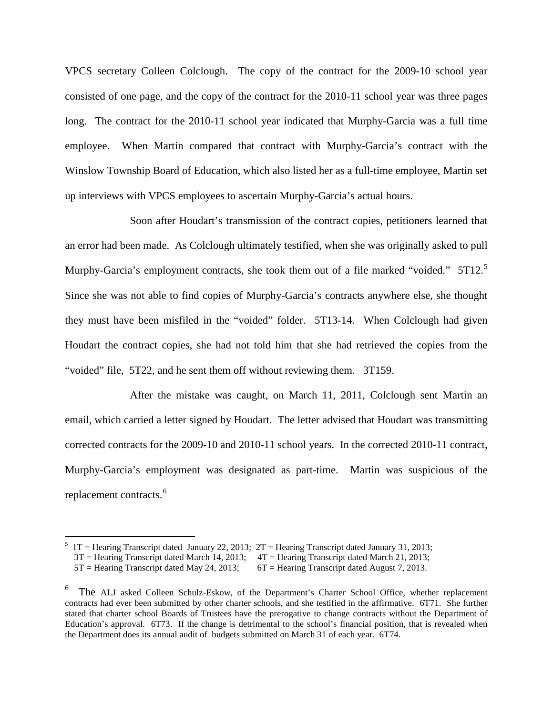VPCS secretary Colleen Colclough. The copy of the contract for the 2009-10 school year consisted of one page, and the copy of the contract for the 2010-11 school year was three pages long. The contract for the 2010-11 school year indicated that Murphy-Garcia was a full time employee. When Martin compared that contract with Murphy-Garcia's contract with the Winslow Township Board of Education, which also listed her as a full-time employee, Martin set up interviews with VPCS employees to ascertain Murphy-Garcia's actual hours.

Soon after Houdart's transmission of the contract copies, petitioners learned that an error had been made. As Colclough ultimately testified, when she was originally asked to pull Murphy-Garcia's employment contracts, she took them out of a file marked "voided." [5](#page-3-0)T12.<sup>5</sup> Since she was not able to find copies of Murphy-Garcia's contracts anywhere else, she thought they must have been misfiled in the "voided" folder. 5T13-14. When Colclough had given Houdart the contract copies, she had not told him that she had retrieved the copies from the "voided" file, 5T22, and he sent them off without reviewing them. 3T159.

After the mistake was caught, on March 11, 2011, Colclough sent Martin an email, which carried a letter signed by Houdart. The letter advised that Houdart was transmitting corrected contracts for the 2009-10 and 2010-11 school years. In the corrected 2010-11 contract, Murphy-Garcia's employment was designated as part-time. Martin was suspicious of the replacement contracts.<sup>[6](#page-3-1)</sup>

 $\overline{a}$ 

<span id="page-3-0"></span> $5$  1T = Hearing Transcript dated January 22, 2013; 2T = Hearing Transcript dated January 31, 2013;

 $3T$  = Hearing Transcript dated March 14, 2013;  $4T$  = Hearing Transcript dated March 21, 2013;

 <sup>5</sup>T = Hearing Transcript dated May 24, 2013; 6T = Hearing Transcript dated August 7, 2013.

<span id="page-3-1"></span><sup>6</sup> The ALJ asked Colleen Schulz-Eskow, of the Department's Charter School Office, whether replacement contracts had ever been submitted by other charter schools, and she testified in the affirmative. 6T71. She further stated that charter school Boards of Trustees have the prerogative to change contracts without the Department of Education's approval. 6T73. If the change is detrimental to the school's financial position, that is revealed when the Department does its annual audit of budgets submitted on March 31 of each year. 6T74.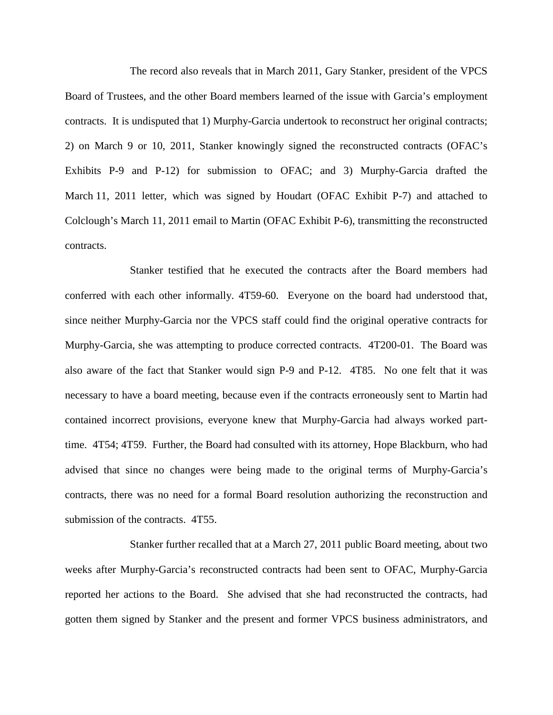The record also reveals that in March 2011, Gary Stanker, president of the VPCS Board of Trustees, and the other Board members learned of the issue with Garcia's employment contracts. It is undisputed that 1) Murphy-Garcia undertook to reconstruct her original contracts; 2) on March 9 or 10, 2011, Stanker knowingly signed the reconstructed contracts (OFAC's Exhibits P-9 and P-12) for submission to OFAC; and 3) Murphy-Garcia drafted the March 11, 2011 letter, which was signed by Houdart (OFAC Exhibit P-7) and attached to Colclough's March 11, 2011 email to Martin (OFAC Exhibit P-6), transmitting the reconstructed contracts.

Stanker testified that he executed the contracts after the Board members had conferred with each other informally. 4T59-60. Everyone on the board had understood that, since neither Murphy-Garcia nor the VPCS staff could find the original operative contracts for Murphy-Garcia, she was attempting to produce corrected contracts. 4T200-01. The Board was also aware of the fact that Stanker would sign P-9 and P-12. 4T85. No one felt that it was necessary to have a board meeting, because even if the contracts erroneously sent to Martin had contained incorrect provisions, everyone knew that Murphy-Garcia had always worked parttime. 4T54; 4T59. Further, the Board had consulted with its attorney, Hope Blackburn, who had advised that since no changes were being made to the original terms of Murphy-Garcia's contracts, there was no need for a formal Board resolution authorizing the reconstruction and submission of the contracts. 4T55.

Stanker further recalled that at a March 27, 2011 public Board meeting, about two weeks after Murphy-Garcia's reconstructed contracts had been sent to OFAC, Murphy-Garcia reported her actions to the Board. She advised that she had reconstructed the contracts, had gotten them signed by Stanker and the present and former VPCS business administrators, and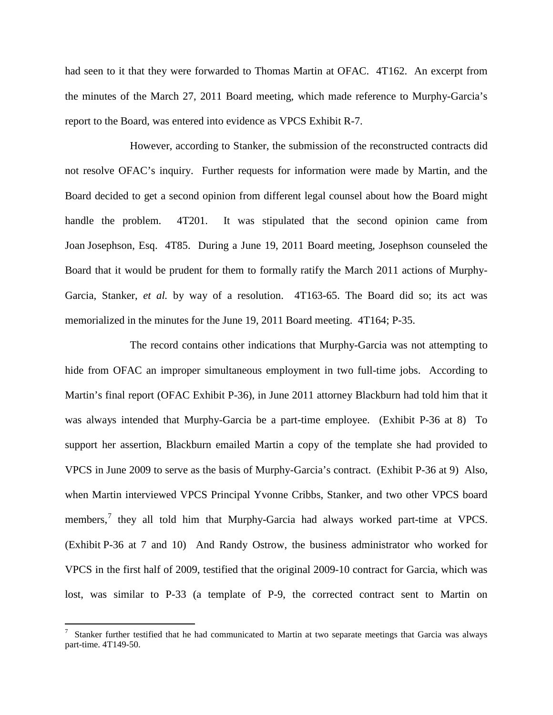had seen to it that they were forwarded to Thomas Martin at OFAC. 4T162. An excerpt from the minutes of the March 27, 2011 Board meeting, which made reference to Murphy-Garcia's report to the Board, was entered into evidence as VPCS Exhibit R-7.

However, according to Stanker, the submission of the reconstructed contracts did not resolve OFAC's inquiry. Further requests for information were made by Martin, and the Board decided to get a second opinion from different legal counsel about how the Board might handle the problem. 4T201. It was stipulated that the second opinion came from Joan Josephson, Esq. 4T85. During a June 19, 2011 Board meeting, Josephson counseled the Board that it would be prudent for them to formally ratify the March 2011 actions of Murphy-Garcia, Stanker, *et al.* by way of a resolution. 4T163-65. The Board did so; its act was memorialized in the minutes for the June 19, 2011 Board meeting. 4T164; P-35.

The record contains other indications that Murphy-Garcia was not attempting to hide from OFAC an improper simultaneous employment in two full-time jobs. According to Martin's final report (OFAC Exhibit P-36), in June 2011 attorney Blackburn had told him that it was always intended that Murphy-Garcia be a part-time employee. (Exhibit P-36 at 8) To support her assertion, Blackburn emailed Martin a copy of the template she had provided to VPCS in June 2009 to serve as the basis of Murphy-Garcia's contract. (Exhibit P-36 at 9) Also, when Martin interviewed VPCS Principal Yvonne Cribbs, Stanker, and two other VPCS board members, $<sup>7</sup>$  $<sup>7</sup>$  $<sup>7</sup>$  they all told him that Murphy-Garcia had always worked part-time at VPCS.</sup> (Exhibit P-36 at 7 and 10) And Randy Ostrow, the business administrator who worked for VPCS in the first half of 2009, testified that the original 2009-10 contract for Garcia, which was lost, was similar to P-33 (a template of P-9, the corrected contract sent to Martin on

<span id="page-5-0"></span><sup>-&</sup>lt;br>7 Stanker further testified that he had communicated to Martin at two separate meetings that Garcia was always part-time. 4T149-50.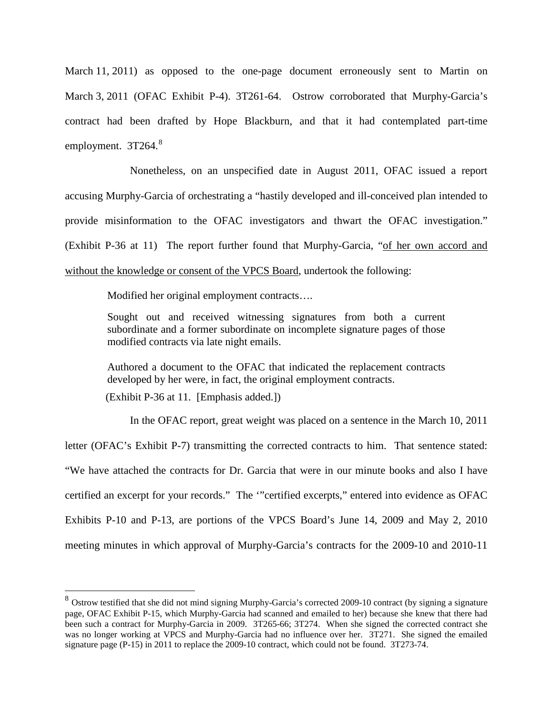March 11, 2011) as opposed to the one-page document erroneously sent to Martin on March 3, 2011 (OFAC Exhibit P-4). 3T261-64. Ostrow corroborated that Murphy-Garcia's contract had been drafted by Hope Blackburn, and that it had contemplated part-time employment.  $3T264$ .<sup>[8](#page-6-0)</sup>

Nonetheless, on an unspecified date in August 2011, OFAC issued a report accusing Murphy-Garcia of orchestrating a "hastily developed and ill-conceived plan intended to provide misinformation to the OFAC investigators and thwart the OFAC investigation." (Exhibit P-36 at 11) The report further found that Murphy-Garcia, "of her own accord and without the knowledge or consent of the VPCS Board, undertook the following:

Modified her original employment contracts….

Sought out and received witnessing signatures from both a current subordinate and a former subordinate on incomplete signature pages of those modified contracts via late night emails.

Authored a document to the OFAC that indicated the replacement contracts developed by her were, in fact, the original employment contracts.

(Exhibit P-36 at 11. [Emphasis added.])

 $\overline{a}$ 

In the OFAC report, great weight was placed on a sentence in the March 10, 2011 letter (OFAC's Exhibit P-7) transmitting the corrected contracts to him. That sentence stated: "We have attached the contracts for Dr. Garcia that were in our minute books and also I have certified an excerpt for your records." The '"certified excerpts," entered into evidence as OFAC Exhibits P-10 and P-13, are portions of the VPCS Board's June 14, 2009 and May 2, 2010 meeting minutes in which approval of Murphy-Garcia's contracts for the 2009-10 and 2010-11

<span id="page-6-0"></span> $8$  Ostrow testified that she did not mind signing Murphy-Garcia's corrected 2009-10 contract (by signing a signature page, OFAC Exhibit P-15, which Murphy-Garcia had scanned and emailed to her) because she knew that there had been such a contract for Murphy-Garcia in 2009. 3T265-66; 3T274. When she signed the corrected contract she was no longer working at VPCS and Murphy-Garcia had no influence over her. 3T271. She signed the emailed signature page (P-15) in 2011 to replace the 2009-10 contract, which could not be found. 3T273-74.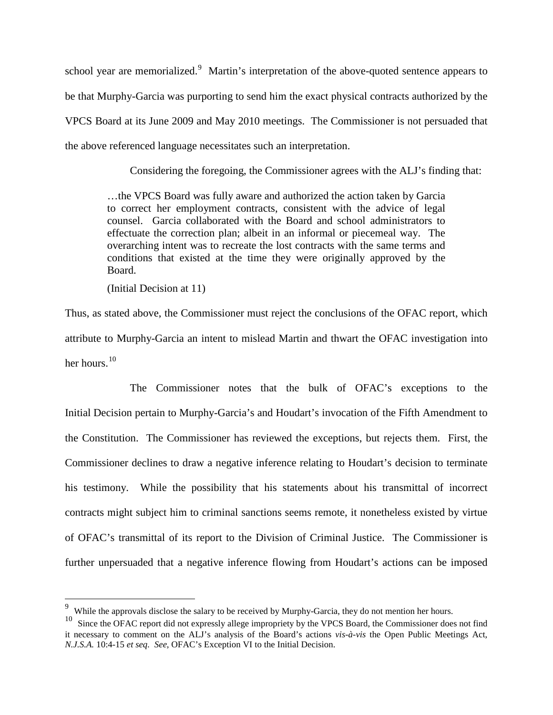school year are memorialized.<sup>[9](#page-7-0)</sup> Martin's interpretation of the above-quoted sentence appears to be that Murphy-Garcia was purporting to send him the exact physical contracts authorized by the VPCS Board at its June 2009 and May 2010 meetings. The Commissioner is not persuaded that the above referenced language necessitates such an interpretation.

Considering the foregoing, the Commissioner agrees with the ALJ's finding that:

…the VPCS Board was fully aware and authorized the action taken by Garcia to correct her employment contracts, consistent with the advice of legal counsel. Garcia collaborated with the Board and school administrators to effectuate the correction plan; albeit in an informal or piecemeal way. The overarching intent was to recreate the lost contracts with the same terms and conditions that existed at the time they were originally approved by the Board.

(Initial Decision at 11)

 $\overline{a}$ 

Thus, as stated above, the Commissioner must reject the conclusions of the OFAC report, which attribute to Murphy-Garcia an intent to mislead Martin and thwart the OFAC investigation into her hours.<sup>[10](#page-7-1)</sup>

The Commissioner notes that the bulk of OFAC's exceptions to the Initial Decision pertain to Murphy-Garcia's and Houdart's invocation of the Fifth Amendment to the Constitution. The Commissioner has reviewed the exceptions, but rejects them. First, the Commissioner declines to draw a negative inference relating to Houdart's decision to terminate his testimony. While the possibility that his statements about his transmittal of incorrect contracts might subject him to criminal sanctions seems remote, it nonetheless existed by virtue of OFAC's transmittal of its report to the Division of Criminal Justice. The Commissioner is further unpersuaded that a negative inference flowing from Houdart's actions can be imposed

<span id="page-7-0"></span><sup>&</sup>lt;sup>9</sup> While the approvals disclose the salary to be received by Murphy-Garcia, they do not mention her hours.

<span id="page-7-1"></span><sup>&</sup>lt;sup>10</sup> Since the OFAC report did not expressly allege impropriety by the VPCS Board, the Commissioner does not find it necessary to comment on the ALJ's analysis of the Board's actions *vis-à-vis* the Open Public Meetings Act*, N.J.S.A.* 10:4-15 *et seq. See,* OFAC's Exception VI to the Initial Decision.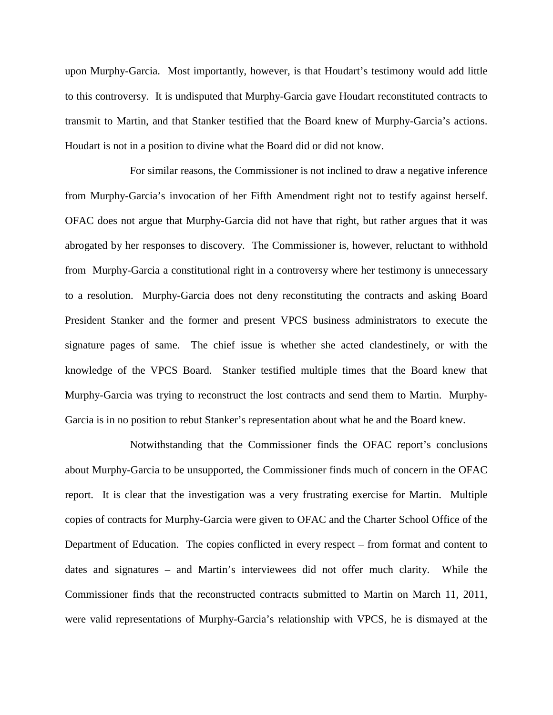upon Murphy-Garcia. Most importantly, however, is that Houdart's testimony would add little to this controversy. It is undisputed that Murphy-Garcia gave Houdart reconstituted contracts to transmit to Martin, and that Stanker testified that the Board knew of Murphy-Garcia's actions. Houdart is not in a position to divine what the Board did or did not know.

For similar reasons, the Commissioner is not inclined to draw a negative inference from Murphy-Garcia's invocation of her Fifth Amendment right not to testify against herself. OFAC does not argue that Murphy-Garcia did not have that right, but rather argues that it was abrogated by her responses to discovery. The Commissioner is, however, reluctant to withhold from Murphy-Garcia a constitutional right in a controversy where her testimony is unnecessary to a resolution. Murphy-Garcia does not deny reconstituting the contracts and asking Board President Stanker and the former and present VPCS business administrators to execute the signature pages of same. The chief issue is whether she acted clandestinely, or with the knowledge of the VPCS Board. Stanker testified multiple times that the Board knew that Murphy-Garcia was trying to reconstruct the lost contracts and send them to Martin. Murphy-Garcia is in no position to rebut Stanker's representation about what he and the Board knew.

Notwithstanding that the Commissioner finds the OFAC report's conclusions about Murphy-Garcia to be unsupported, the Commissioner finds much of concern in the OFAC report. It is clear that the investigation was a very frustrating exercise for Martin. Multiple copies of contracts for Murphy-Garcia were given to OFAC and the Charter School Office of the Department of Education. The copies conflicted in every respect – from format and content to dates and signatures – and Martin's interviewees did not offer much clarity. While the Commissioner finds that the reconstructed contracts submitted to Martin on March 11, 2011, were valid representations of Murphy-Garcia's relationship with VPCS, he is dismayed at the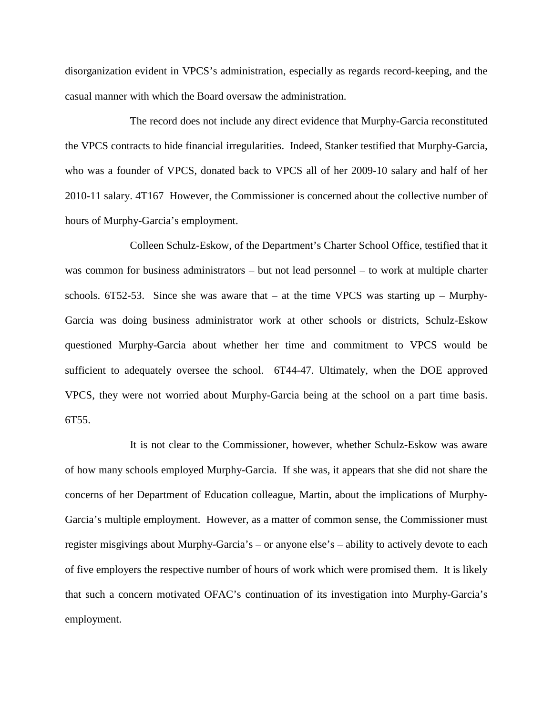disorganization evident in VPCS's administration, especially as regards record-keeping, and the casual manner with which the Board oversaw the administration.

The record does not include any direct evidence that Murphy-Garcia reconstituted the VPCS contracts to hide financial irregularities. Indeed, Stanker testified that Murphy-Garcia, who was a founder of VPCS, donated back to VPCS all of her 2009-10 salary and half of her 2010-11 salary. 4T167 However, the Commissioner is concerned about the collective number of hours of Murphy-Garcia's employment.

Colleen Schulz-Eskow, of the Department's Charter School Office, testified that it was common for business administrators – but not lead personnel – to work at multiple charter schools. 6T52-53. Since she was aware that – at the time VPCS was starting up – Murphy-Garcia was doing business administrator work at other schools or districts, Schulz-Eskow questioned Murphy-Garcia about whether her time and commitment to VPCS would be sufficient to adequately oversee the school. 6T44-47. Ultimately, when the DOE approved VPCS, they were not worried about Murphy-Garcia being at the school on a part time basis. 6T55.

It is not clear to the Commissioner, however, whether Schulz-Eskow was aware of how many schools employed Murphy-Garcia. If she was, it appears that she did not share the concerns of her Department of Education colleague, Martin, about the implications of Murphy-Garcia's multiple employment. However, as a matter of common sense, the Commissioner must register misgivings about Murphy-Garcia's – or anyone else's – ability to actively devote to each of five employers the respective number of hours of work which were promised them. It is likely that such a concern motivated OFAC's continuation of its investigation into Murphy-Garcia's employment.